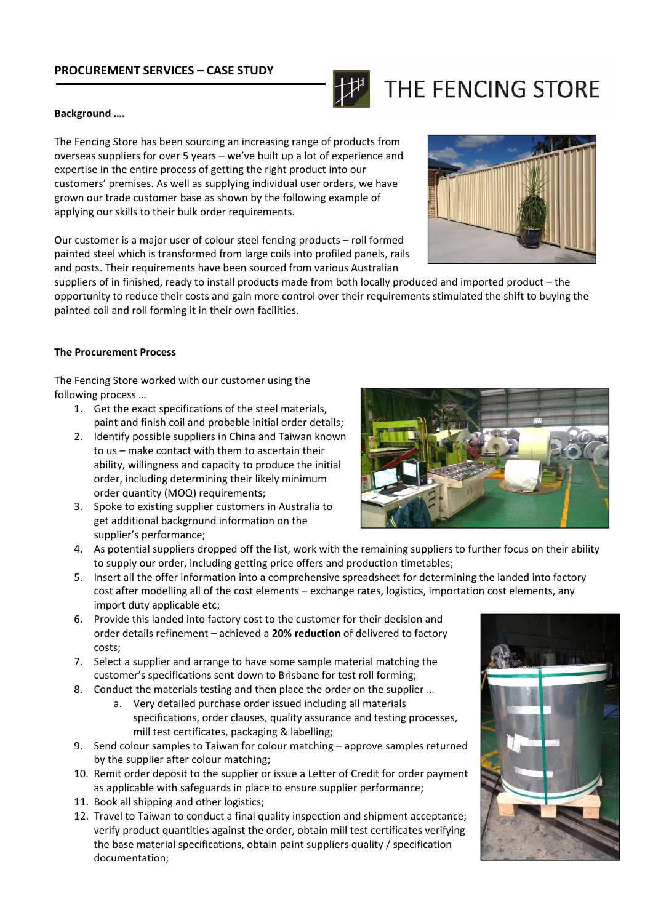## **PROCUREMENT SERVICES – CASE STUDY**



# THE FENCING STORE

#### **Background ….**

The Fencing Store has been sourcing an increasing range of products from overseas suppliers for over 5 years – we've built up a lot of experience and expertise in the entire process of getting the right product into our customers' premises. As well as supplying individual user orders, we have grown our trade customer base as shown by the following example of applying our skills to their bulk order requirements.

Our customer is a major user of colour steel fencing products – roll formed painted steel which is transformed from large coils into profiled panels, rails and posts. Their requirements have been sourced from various Australian



suppliers of in finished, ready to install products made from both locally produced and imported product – the opportunity to reduce their costs and gain more control over their requirements stimulated the shift to buying the painted coil and roll forming it in their own facilities.

#### **The Procurement Process**

The Fencing Store worked with our customer using the following process …

- 1. Get the exact specifications of the steel materials, paint and finish coil and probable initial order details;
- 2. Identify possible suppliers in China and Taiwan known to us – make contact with them to ascertain their ability, willingness and capacity to produce the initial order, including determining their likely minimum order quantity (MOQ) requirements;
- 3. Spoke to existing supplier customers in Australia to get additional background information on the supplier's performance;



- 4. As potential suppliers dropped off the list, work with the remaining suppliers to further focus on their ability to supply our order, including getting price offers and production timetables;
- 5. Insert all the offer information into a comprehensive spreadsheet for determining the landed into factory cost after modelling all of the cost elements – exchange rates, logistics, importation cost elements, any import duty applicable etc;
- 6. Provide this landed into factory cost to the customer for their decision and order details refinement – achieved a **20% reduction** of delivered to factory costs;
- 7. Select a supplier and arrange to have some sample material matching the customer's specifications sent down to Brisbane for test roll forming;
- 8. Conduct the materials testing and then place the order on the supplier …
	- a. Very detailed purchase order issued including all materials specifications, order clauses, quality assurance and testing processes, mill test certificates, packaging & labelling;
- 9. Send colour samples to Taiwan for colour matching approve samples returned by the supplier after colour matching;
- 10. Remit order deposit to the supplier or issue a Letter of Credit for order payment as applicable with safeguards in place to ensure supplier performance;
- 11. Book all shipping and other logistics;
- 12. Travel to Taiwan to conduct a final quality inspection and shipment acceptance; verify product quantities against the order, obtain mill test certificates verifying the base material specifications, obtain paint suppliers quality / specification documentation;